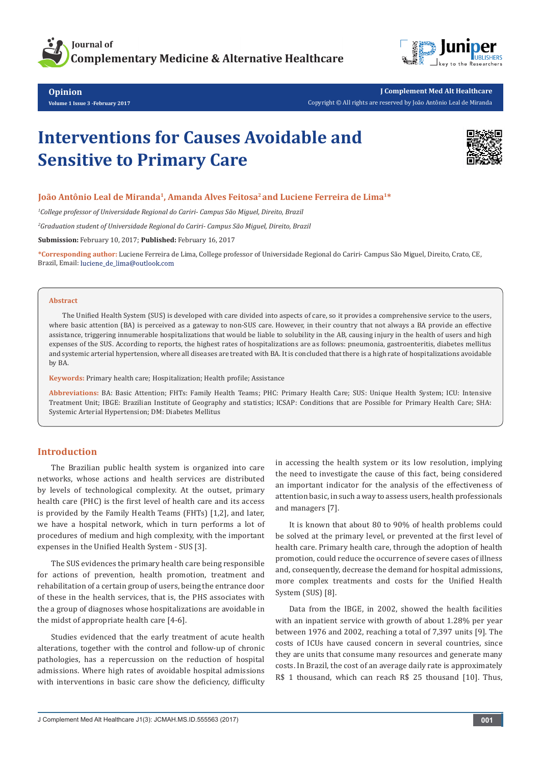



**Opinion Volume 1 Issue 3 -February 2017**

# **Interventions for Causes Avoidable and Sensitive to Primary Care**



### **João Antônio Leal de Miranda1, Amanda Alves Feitosa2 and Luciene Ferreira de Lima1\***

*1 College professor of Universidade Regional do Cariri- Campus São Miguel, Direito, Brazil*

*2 Graduation student of Universidade Regional do Cariri- Campus São Miguel, Direito, Brazil*

**Submission:** February 10, 2017; **Published:** February 16, 2017

**\*Corresponding author:** Luciene Ferreira de Lima, College professor of Universidade Regional do Cariri- Campus São Miguel, Direito, Crato, CE, Brazil, Email: luciene\_de\_lima@outlook.com

#### **Abstract**

The Unified Health System (SUS) is developed with care divided into aspects of care, so it provides a comprehensive service to the users, where basic attention (BA) is perceived as a gateway to non-SUS care. However, in their country that not always a BA provide an effective assistance, triggering innumerable hospitalizations that would be liable to solubility in the AB, causing injury in the health of users and high expenses of the SUS. According to reports, the highest rates of hospitalizations are as follows: pneumonia, gastroenteritis, diabetes mellitus and systemic arterial hypertension, where all diseases are treated with BA. It is concluded that there is a high rate of hospitalizations avoidable by BA.

**Keywords:** Primary health care; Hospitalization; Health profile; Assistance

**Abbreviations:** BA: Basic Attention; FHTs: Family Health Teams; PHC: Primary Health Care; SUS: Unique Health System; ICU: Intensive Treatment Unit; IBGE: Brazilian Institute of Geography and statistics; ICSAP: Conditions that are Possible for Primary Health Care; SHA: Systemic Arterial Hypertension; DM: Diabetes Mellitus

## **Introduction**

The Brazilian public health system is organized into care networks, whose actions and health services are distributed by levels of technological complexity. At the outset, primary health care (PHC) is the first level of health care and its access is provided by the Family Health Teams (FHTs) [1,2], and later, we have a hospital network, which in turn performs a lot of procedures of medium and high complexity, with the important expenses in the Unified Health System - SUS [3].

The SUS evidences the primary health care being responsible for actions of prevention, health promotion, treatment and rehabilitation of a certain group of users, being the entrance door of these in the health services, that is, the PHS associates with the a group of diagnoses whose hospitalizations are avoidable in the midst of appropriate health care [4-6].

Studies evidenced that the early treatment of acute health alterations, together with the control and follow-up of chronic pathologies, has a repercussion on the reduction of hospital admissions. Where high rates of avoidable hospital admissions with interventions in basic care show the deficiency, difficulty

in accessing the health system or its low resolution, implying the need to investigate the cause of this fact, being considered an important indicator for the analysis of the effectiveness of attention basic, in such a way to assess users, health professionals and managers [7].

It is known that about 80 to 90% of health problems could be solved at the primary level, or prevented at the first level of health care. Primary health care, through the adoption of health promotion, could reduce the occurrence of severe cases of illness and, consequently, decrease the demand for hospital admissions, more complex treatments and costs for the Unified Health System (SUS) [8].

Data from the IBGE, in 2002, showed the health facilities with an inpatient service with growth of about 1.28% per year between 1976 and 2002, reaching a total of 7,397 units [9]. The costs of ICUs have caused concern in several countries, since they are units that consume many resources and generate many costs. In Brazil, the cost of an average daily rate is approximately R\$ 1 thousand, which can reach R\$ 25 thousand [10]. Thus,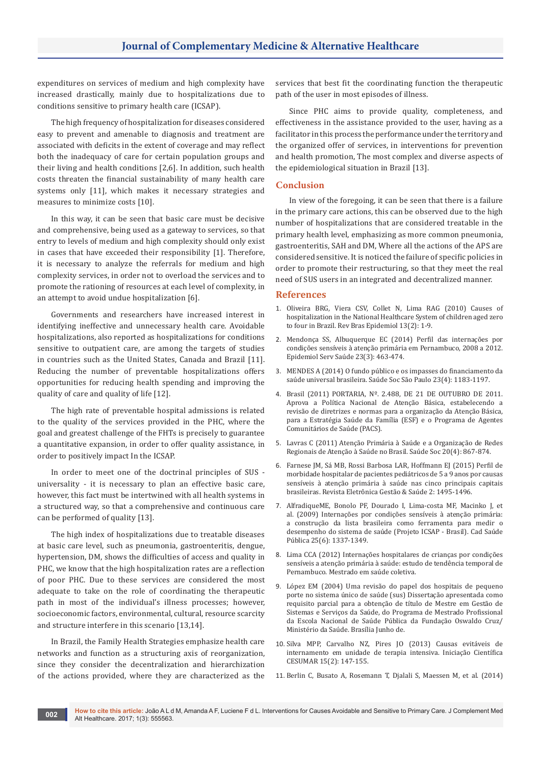expenditures on services of medium and high complexity have increased drastically, mainly due to hospitalizations due to conditions sensitive to primary health care (ICSAP).

The high frequency of hospitalization for diseases considered easy to prevent and amenable to diagnosis and treatment are associated with deficits in the extent of coverage and may reflect both the inadequacy of care for certain population groups and their living and health conditions [2,6]. In addition, such health costs threaten the financial sustainability of many health care systems only [11], which makes it necessary strategies and measures to minimize costs [10].

In this way, it can be seen that basic care must be decisive and comprehensive, being used as a gateway to services, so that entry to levels of medium and high complexity should only exist in cases that have exceeded their responsibility [1]. Therefore, it is necessary to analyze the referrals for medium and high complexity services, in order not to overload the services and to promote the rationing of resources at each level of complexity, in an attempt to avoid undue hospitalization [6].

Governments and researchers have increased interest in identifying ineffective and unnecessary health care. Avoidable hospitalizations, also reported as hospitalizations for conditions sensitive to outpatient care, are among the targets of studies in countries such as the United States, Canada and Brazil [11]. Reducing the number of preventable hospitalizations offers opportunities for reducing health spending and improving the quality of care and quality of life [12].

The high rate of preventable hospital admissions is related to the quality of the services provided in the PHC, where the goal and greatest challenge of the FHTs is precisely to guarantee a quantitative expansion, in order to offer quality assistance, in order to positively impact In the ICSAP.

In order to meet one of the doctrinal principles of SUS universality - it is necessary to plan an effective basic care, however, this fact must be intertwined with all health systems in a structured way, so that a comprehensive and continuous care can be performed of quality [13].

The high index of hospitalizations due to treatable diseases at basic care level, such as pneumonia, gastroenteritis, dengue, hypertension, DM, shows the difficulties of access and quality in PHC, we know that the high hospitalization rates are a reflection of poor PHC. Due to these services are considered the most adequate to take on the role of coordinating the therapeutic path in most of the individual's illness processes; however, socioeconomic factors, environmental, cultural, resource scarcity and structure interfere in this scenario [13,14].

In Brazil, the Family Health Strategies emphasize health care networks and function as a structuring axis of reorganization, since they consider the decentralization and hierarchization of the actions provided, where they are characterized as the services that best fit the coordinating function the therapeutic path of the user in most episodes of illness.

Since PHC aims to provide quality, completeness, and effectiveness in the assistance provided to the user, having as a facilitator in this process the performance under the territory and the organized offer of services, in interventions for prevention and health promotion, The most complex and diverse aspects of the epidemiological situation in Brazil [13].

### **Conclusion**

In view of the foregoing, it can be seen that there is a failure in the primary care actions, this can be observed due to the high number of hospitalizations that are considered treatable in the primary health level, emphasizing as more common pneumonia, gastroenteritis, SAH and DM, Where all the actions of the APS are considered sensitive. It is noticed the failure of specific policies in order to promote their restructuring, so that they meet the real need of SUS users in an integrated and decentralized manner.

#### **References**

- 1. [Oliveira BRG, Viera CSV, Collet N, Lima RAG \(2010\) Causes of](http://www.scielo.br/scielo.php?pid=S1415-790X2010000200009&script=sci_arttext&tlng=en)  [hospitalization in the National Healthcare System of children aged zero](http://www.scielo.br/scielo.php?pid=S1415-790X2010000200009&script=sci_arttext&tlng=en)  [to four in Brazil. Rev Bras Epidemiol 13\(2\): 1-9.](http://www.scielo.br/scielo.php?pid=S1415-790X2010000200009&script=sci_arttext&tlng=en)
- 2. Mendon[ça SS, Albuquerque EC \(2014\) Perfil das internações por](http://www.scielo.br/pdf/ress/v23n3/1679-4974-ress-23-03-00463.pdf)  [condições sensíveis à atenção primária em Pernambuco, 2008 a 2012.](http://www.scielo.br/pdf/ress/v23n3/1679-4974-ress-23-03-00463.pdf)  [Epidemiol Serv Saúde 23\(3\): 463-474.](http://www.scielo.br/pdf/ress/v23n3/1679-4974-ress-23-03-00463.pdf)
- 3. [MENDES A \(2014\) O fundo público e os impasses do financiamento da](http://www.scielo.br/scielo.php?script=sci_arttext&pid=S0104-12902014000401183)  sa[úde universal brasileira. Saúde Soc São Paulo 23\(4\): 1183-1197.](http://www.scielo.br/scielo.php?script=sci_arttext&pid=S0104-12902014000401183)
- 4. [Brasil \(2011\) PORTARIA, Nº. 2.488, DE 21 DE OUTUBRO DE 2011.](http://bvsms.saude.gov.br/bvs/saudelegis/gm/2011/prt2488_21_10_2011.html)  [Aprova a Política Nacional de Atenção Básica, estabelecendo a](http://bvsms.saude.gov.br/bvs/saudelegis/gm/2011/prt2488_21_10_2011.html)  [revisão de diretrizes e normas para a organização da Atenção B](http://bvsms.saude.gov.br/bvs/saudelegis/gm/2011/prt2488_21_10_2011.html)ásica, [para a Estratégia Saúde da Família \(ESF\) e o Programa de Agentes](http://bvsms.saude.gov.br/bvs/saudelegis/gm/2011/prt2488_21_10_2011.html)  [Comunitários de Saúde \(PACS\).](http://bvsms.saude.gov.br/bvs/saudelegis/gm/2011/prt2488_21_10_2011.html)
- 5. [Lavras C \(2011\) Atenção Primária à Saúde e a Organização de Redes](http://www.scielo.br/scielo.php?script=sci_arttext&pid=S0104-12902011000400005)  Regionais de Aten[ção à Saúde no Brasil. Saúde Soc 20\(4\): 867-874.](http://www.scielo.br/scielo.php?script=sci_arttext&pid=S0104-12902011000400005)
- 6. [Farnese JM, Sá MB, Rossi Barbosa LAR, Hoffmann EJ \(2015\) Perfil de](http://gestaoesaude.unb.br/index.php/gestaoesaude/article/viewFile/1207/pdf)  [morbidade hospitalar de pacientes pediátricos de 5 a 9 anos por causas](http://gestaoesaude.unb.br/index.php/gestaoesaude/article/viewFile/1207/pdf)  [sensíveis à atenção primária à saúde nas cinco principais capitais](http://gestaoesaude.unb.br/index.php/gestaoesaude/article/viewFile/1207/pdf)  [brasileiras. Revista Eletrônica Gestão & Saúde 2: 1495-1496.](http://gestaoesaude.unb.br/index.php/gestaoesaude/article/viewFile/1207/pdf)
- 7. [AlfradiqueME, Bonolo PF, Dourado I, Lima-costa MF, Macinko J, et](http://www.scielo.br/pdf/csp/v25n6/16.pdf)  [al. \(2009\) Internações por condições sensíveis à atenção primária:](http://www.scielo.br/pdf/csp/v25n6/16.pdf)  [a construção da lista brasileira como ferramenta para medir o](http://www.scielo.br/pdf/csp/v25n6/16.pdf)  [desempenho do sistema de saúde \(Projeto ICSAP - Brasil\). Cad Saúde](http://www.scielo.br/pdf/csp/v25n6/16.pdf)  [Pública 25\(6\): 1337-1349.](http://www.scielo.br/pdf/csp/v25n6/16.pdf)
- 8. [Lima CCA \(2012\) Internações hospitalares de crianças por condições](https://repositorio.ufba.br/ri/bitstream/ri/6736/1/Diss%20mestrado.%20Suzana%20Costa%20Carvalho.pdf)  [sensíveis a atenção primária à saúde: estudo de tendência temporal de](https://repositorio.ufba.br/ri/bitstream/ri/6736/1/Diss%20mestrado.%20Suzana%20Costa%20Carvalho.pdf)  [Pernambuco. Mestrado em saúde coletiva.](https://repositorio.ufba.br/ri/bitstream/ri/6736/1/Diss%20mestrado.%20Suzana%20Costa%20Carvalho.pdf)
- 9. López EM (2004) Uma revisão do papel dos hospitais de pequeno porte no sistema único de saúde (sus) Dissertação apresentada como requisito parcial para a obtenção de título de Mestre em Gestão de Sistemas e Serviços da Saúde, do Programa de Mestrado Profissional da Escola Nacional de Saúde Pública da Fundação Oswaldo Cruz/ Ministério da Saúde. Brasília Junho de.
- 10. [Silva MPP, Carvalho NZ, Pires JO \(2013\) Causas evitáveis de](http://periodicos.unicesumar.edu.br/index.php/iccesumar/article/viewFile/3189/2287)  [internamento em unidade de terapia intensiva. Iniciação Científica](http://periodicos.unicesumar.edu.br/index.php/iccesumar/article/viewFile/3189/2287)  [CESUMAR 15\(2\): 147-155.](http://periodicos.unicesumar.edu.br/index.php/iccesumar/article/viewFile/3189/2287)
- 11. [Berlin C, Busato A, Rosemann T, Djalali S, Maessen M, et al. \(2014\)](https://www.ncbi.nlm.nih.gov/pubmed/24992827)